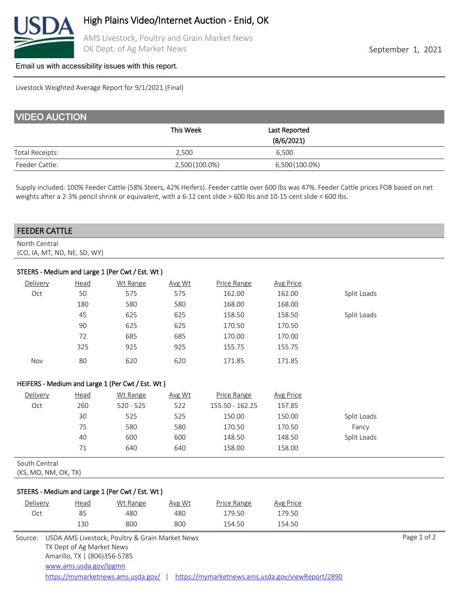

AMS Livestock, Poultry and Grain Market News OK Dept. of Ag Market News **September 1, 2021** 

### [Email us with accessibility issues with this report.](mailto:mars@ams.usda.gov?subjectNot%20able%20to%20access%20video%20auction%20report)

Livestock Weighted Average Report for 9/1/2021 (Final)

| <b>VIDEO AUCTION</b>   |                |                |  |  |  |  |
|------------------------|----------------|----------------|--|--|--|--|
|                        | This Week      | Last Reported  |  |  |  |  |
|                        |                | (8/6/2021)     |  |  |  |  |
| <b>Total Receipts:</b> | 2,500          | 6.500          |  |  |  |  |
| Feeder Cattle:         | 2,500 (100.0%) | 6,500 (100.0%) |  |  |  |  |

Supply included: 100% Feeder Cattle (58% Steers, 42% Heifers). Feeder cattle over 600 lbs was 47%. Feeder Cattle prices FOB based on net weights after a 2-3% pencil shrink or equivalent, with a 6-12 cent slide > 600 lbs and 10-15 cent slide < 600 lbs.

## FEEDER CATTLE

North Central (CO, IA, MT, ND, NE, SD, WY)

# STEERS - Medium and Large 1 (Per Cwt / Est. Wt )

| Delivery | Head | Wt Range | Avg Wt | Price Range | Avg Price |             |
|----------|------|----------|--------|-------------|-----------|-------------|
| Oct      | 50   | 575      | 575    | 162.00      | 162.00    | Split Loads |
|          | 180  | 580      | 580    | 168.00      | 168.00    |             |
|          | 45   | 625      | 625    | 158.50      | 158.50    | Split Loads |
|          | 90   | 625      | 625    | 170.50      | 170.50    |             |
|          | 72   | 685      | 685    | 170.00      | 170.00    |             |
|          | 325  | 925      | 925    | 155.75      | 155.75    |             |
| Nov      | 80   | 620      | 620    | 171.85      | 171.85    |             |

## HEIFERS - Medium and Large 1 (Per Cwt / Est. Wt )

| Delivery | <u>Head</u> | Wt Range    | Avg Wt | Price Range     | <b>Avg Price</b> |             |  |
|----------|-------------|-------------|--------|-----------------|------------------|-------------|--|
| Oct      | 260         | $520 - 525$ | 522    | 155.50 - 162.25 | 157.85           |             |  |
|          | 30          | 525         | 525    | 150.00          | 150.00           | Split Loads |  |
|          | 75          | 580         | 580    | 170.50          | 170.50           | Fancy       |  |
|          | 40          | 600         | 600    | 148.50          | 148.50           | Split Loads |  |
|          |             | 640         | 640    | 158.00          | 158.00           |             |  |

South Central

(KS, MO, NM, OK, TX)

## STEERS - Medium and Large 1 (Per Cwt / Est. Wt )

| Delivery | <u>Head</u>                                                                          | Wt Range | Avg Wt | Price Range | <b>Avg Price</b> |             |
|----------|--------------------------------------------------------------------------------------|----------|--------|-------------|------------------|-------------|
| Oct      | 85                                                                                   | 480      | 480    | 179.50      | 179.50           |             |
|          | 130                                                                                  | 800      | 800    | 154.50      | 154.50           |             |
|          | Source: USDA AMS Livestock, Poultry & Grain Market News<br>TX Dept of Ag Market News |          |        |             |                  | Page 1 of 2 |

Amarillo, TX | (806)356-5785 <https://mymarketnews.ams.usda.gov/> | <https://mymarketnews.ams.usda.gov/viewReport/2890> [www.ams.usda.gov/lpgmn](https://mymarketnews.ams.usda.gov/)